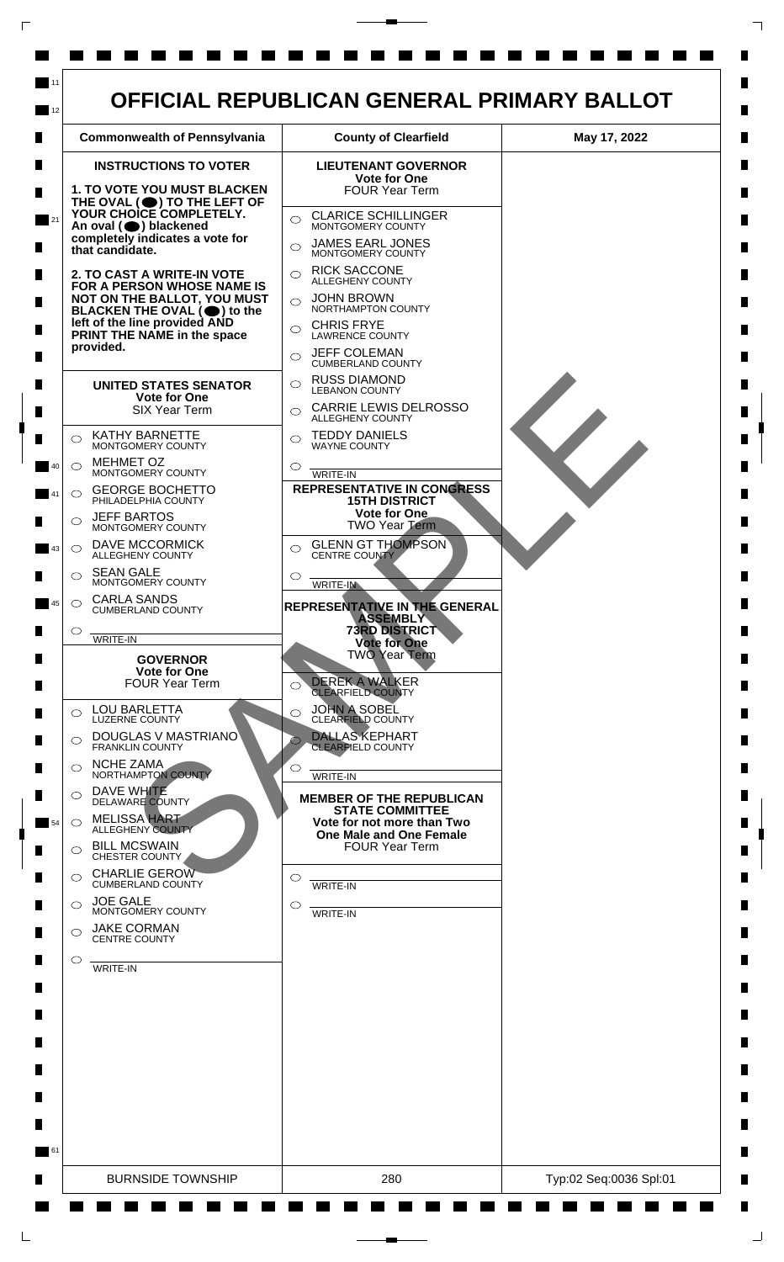

 $\mathsf{L}$ 

 $\Box$